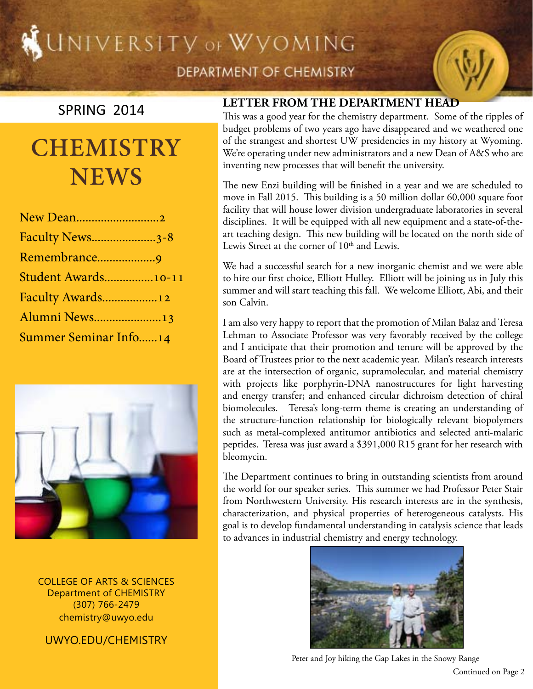# UNIVERSITY OF WYOMING



### SPRING 2014

# **CHEMISTRY NEWS**

| New Dean2                    |
|------------------------------|
| <b>Faculty News3-8</b>       |
| Remembrance9                 |
| Student Awards10-11          |
| Faculty Awards12             |
| Alumni News13                |
| <b>Summer Seminar Info14</b> |



COLLEGE OF ARTS & SCIENCES Department of CHEMISTRY (307) 766-2479 chemistry@uwyo.edu

uwyo.edu/chemistry

#### **Letter from the Department Head**

This was a good year for the chemistry department. Some of the ripples of budget problems of two years ago have disappeared and we weathered one of the strangest and shortest UW presidencies in my history at Wyoming. We're operating under new administrators and a new Dean of A&S who are inventing new processes that will benefit the university.

The new Enzi building will be finished in a year and we are scheduled to move in Fall 2015. This building is a 50 million dollar 60,000 square foot facility that will house lower division undergraduate laboratories in several disciplines. It will be equipped with all new equipment and a state-of-theart teaching design. This new building will be located on the north side of Lewis Street at the corner of 10<sup>th</sup> and Lewis.

We had a successful search for a new inorganic chemist and we were able to hire our first choice, Elliott Hulley. Elliott will be joining us in July this summer and will start teaching this fall. We welcome Elliott, Abi, and their son Calvin.

I am also very happy to report that the promotion of Milan Balaz and Teresa Lehman to Associate Professor was very favorably received by the college and I anticipate that their promotion and tenure will be approved by the Board of Trustees prior to the next academic year. Milan's research interests are at the intersection of organic, supramolecular, and material chemistry with projects like porphyrin-DNA nanostructures for light harvesting and energy transfer; and enhanced circular dichroism detection of chiral biomolecules. Teresa's long-term theme is creating an understanding of the structure-function relationship for biologically relevant biopolymers such as metal-complexed antitumor antibiotics and selected anti-malaric peptides. Teresa was just award a \$391,000 R15 grant for her research with bleomycin.

The Department continues to bring in outstanding scientists from around the world for our speaker series. This summer we had Professor Peter Stair from Northwestern University. His research interests are in the synthesis, characterization, and physical properties of heterogeneous catalysts. His goal is to develop fundamental understanding in catalysis science that leads to advances in industrial chemistry and energy technology.



Continued on Page 2 Peter and Joy hiking the Gap Lakes in the Snowy Range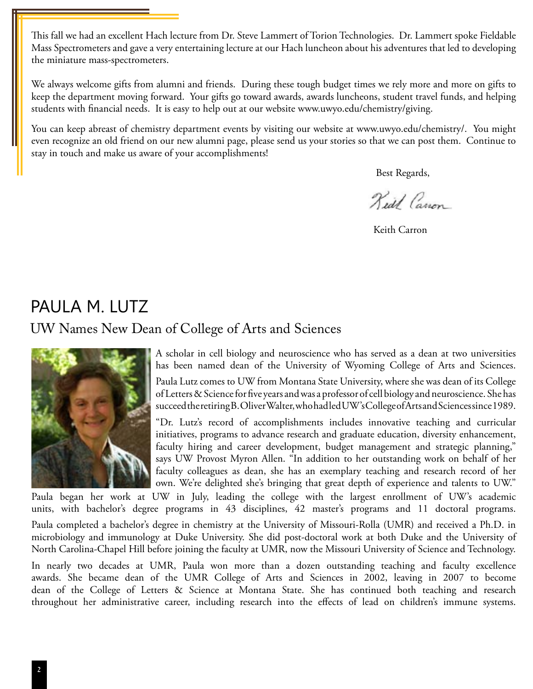This fall we had an excellent Hach lecture from Dr. Steve Lammert of Torion Technologies. Dr. Lammert spoke Fieldable Mass Spectrometers and gave a very entertaining lecture at our Hach luncheon about his adventures that led to developing the miniature mass-spectrometers.

We always welcome gifts from alumni and friends. During these tough budget times we rely more and more on gifts to keep the department moving forward. Your gifts go toward awards, awards luncheons, student travel funds, and helping students with financial needs. It is easy to help out at our website www.uwyo.edu/chemistry/giving.

You can keep abreast of chemistry department events by visiting our website at www.uwyo.edu/chemistry/. You might even recognize an old friend on our new alumni page, please send us your stories so that we can post them. Continue to stay in touch and make us aware of your accomplishments!

Best Regards,

Kedd Canon

Keith Carron

## Paula M. Lutz

#### UW Names New Dean of College of Arts and Sciences



A scholar in cell biology and neuroscience who has served as a dean at two universities has been named dean of the University of Wyoming College of Arts and Sciences.

Paula Lutz comes to UW from Montana State University, where she was dean of its College of Letters & Science for five years and was a professor of cell biology and neuroscience. She has succeed the retiring B. Oliver Walter, who had led UW's College of Arts and Sciences since 1989.

"Dr. Lutz's record of accomplishments includes innovative teaching and curricular initiatives, programs to advance research and graduate education, diversity enhancement, faculty hiring and career development, budget management and strategic planning," says UW Provost Myron Allen. "In addition to her outstanding work on behalf of her faculty colleagues as dean, she has an exemplary teaching and research record of her own. We're delighted she's bringing that great depth of experience and talents to UW."

Paula began her work at UW in July, leading the college with the largest enrollment of UW's academic units, with bachelor's degree programs in 43 disciplines, 42 master's programs and 11 doctoral programs.

Paula completed a bachelor's degree in chemistry at the University of Missouri-Rolla (UMR) and received a Ph.D. in microbiology and immunology at Duke University. She did post-doctoral work at both Duke and the University of North Carolina-Chapel Hill before joining the faculty at UMR, now the Missouri University of Science and Technology.

In nearly two decades at UMR, Paula won more than a dozen outstanding teaching and faculty excellence awards. She became dean of the UMR College of Arts and Sciences in 2002, leaving in 2007 to become dean of the College of Letters & Science at Montana State. She has continued both teaching and research throughout her administrative career, including research into the effects of lead on children's immune systems.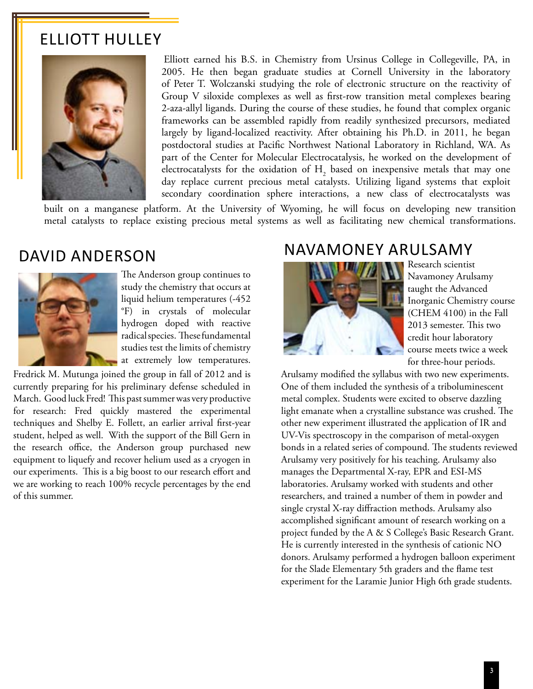#### Elliott Hulley



 Elliott earned his B.S. in Chemistry from Ursinus College in Collegeville, PA, in 2005. He then began graduate studies at Cornell University in the laboratory of Peter T. Wolczanski studying the role of electronic structure on the reactivity of Group V siloxide complexes as well as first-row transition metal complexes bearing 2-aza-allyl ligands. During the course of these studies, he found that complex organic frameworks can be assembled rapidly from readily synthesized precursors, mediated largely by ligand-localized reactivity. After obtaining his Ph.D. in 2011, he began postdoctoral studies at Pacific Northwest National Laboratory in Richland, WA. As part of the Center for Molecular Electrocatalysis, he worked on the development of electrocatalysts for the oxidation of  $H_2$  based on inexpensive metals that may one day replace current precious metal catalysts. Utilizing ligand systems that exploit secondary coordination sphere interactions, a new class of electrocatalysts was

built on a manganese platform. At the University of Wyoming, he will focus on developing new transition metal catalysts to replace existing precious metal systems as well as facilitating new chemical transformations.

#### David Anderson



The Anderson group continues to study the chemistry that occurs at liquid helium temperatures (-452 °F) in crystals of molecular hydrogen doped with reactive radical species. These fundamental studies test the limits of chemistry at extremely low temperatures.

Fredrick M. Mutunga joined the group in fall of 2012 and is currently preparing for his preliminary defense scheduled in March. Good luck Fred! This past summer was very productive for research: Fred quickly mastered the experimental techniques and Shelby E. Follett, an earlier arrival first-year student, helped as well. With the support of the Bill Gern in the research office, the Anderson group purchased new equipment to liquefy and recover helium used as a cryogen in our experiments. This is a big boost to our research effort and we are working to reach 100% recycle percentages by the end of this summer.

#### Navamoney arulsamy



Research scientist Navamoney Arulsamy taught the Advanced Inorganic Chemistry course (CHEM 4100) in the Fall 2013 semester. This two credit hour laboratory course meets twice a week for three-hour periods.

Arulsamy modified the syllabus with two new experiments. One of them included the synthesis of a triboluminescent metal complex. Students were excited to observe dazzling light emanate when a crystalline substance was crushed. The other new experiment illustrated the application of IR and UV-Vis spectroscopy in the comparison of metal-oxygen bonds in a related series of compound. The students reviewed Arulsamy very positively for his teaching. Arulsamy also manages the Departmental X-ray, EPR and ESI-MS laboratories. Arulsamy worked with students and other researchers, and trained a number of them in powder and single crystal X-ray diffraction methods. Arulsamy also accomplished significant amount of research working on a project funded by the A & S College's Basic Research Grant. He is currently interested in the synthesis of cationic NO donors. Arulsamy performed a hydrogen balloon experiment for the Slade Elementary 5th graders and the flame test experiment for the Laramie Junior High 6th grade students.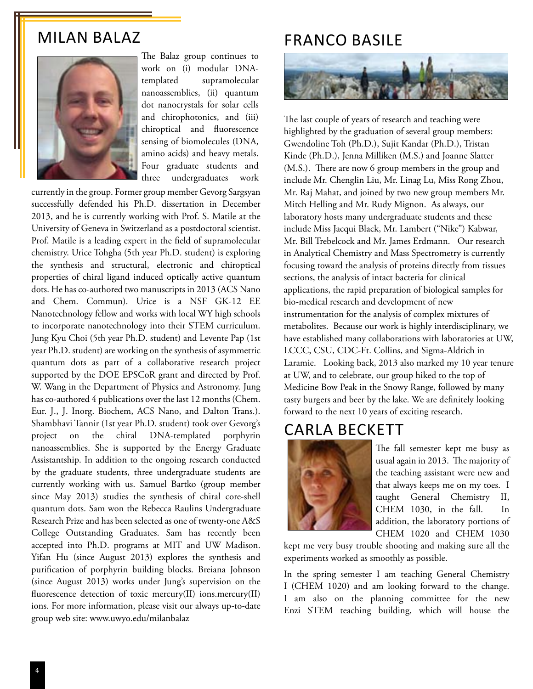#### Milan Balaz



The Balaz group continues to work on (i) modular DNAtemplated supramolecular nanoassemblies, (ii) quantum dot nanocrystals for solar cells and chirophotonics, and (iii) chiroptical and fluorescence sensing of biomolecules (DNA, amino acids) and heavy metals. Four graduate students and three undergraduates work

currently in the group. Former group member Gevorg Sargsyan successfully defended his Ph.D. dissertation in December 2013, and he is currently working with Prof. S. Matile at the University of Geneva in Switzerland as a postdoctoral scientist. Prof. Matile is a leading expert in the field of supramolecular chemistry. Urice Tohgha (5th year Ph.D. student) is exploring the synthesis and structural, electronic and chiroptical properties of chiral ligand induced optically active quantum dots. He has co-authored two manuscripts in 2013 (ACS Nano and Chem. Commun). Urice is a NSF GK-12 EE Nanotechnology fellow and works with local WY high schools to incorporate nanotechnology into their STEM curriculum. Jung Kyu Choi (5th year Ph.D. student) and Levente Pap (1st year Ph.D. student) are working on the synthesis of asymmetric quantum dots as part of a collaborative research project supported by the DOE EPSCoR grant and directed by Prof. W. Wang in the Department of Physics and Astronomy. Jung has co-authored 4 publications over the last 12 months (Chem. Eur. J., J. Inorg. Biochem, ACS Nano, and Dalton Trans.). Shambhavi Tannir (1st year Ph.D. student) took over Gevorg's project on the chiral DNA-templated porphyrin nanoassemblies. She is supported by the Energy Graduate Assistantship. In addition to the ongoing research conducted by the graduate students, three undergraduate students are currently working with us. Samuel Bartko (group member since May 2013) studies the synthesis of chiral core-shell quantum dots. Sam won the Rebecca Raulins Undergraduate Research Prize and has been selected as one of twenty-one A&S College Outstanding Graduates. Sam has recently been accepted into Ph.D. programs at MIT and UW Madison. Yifan Hu (since August 2013) explores the synthesis and purification of porphyrin building blocks. Breiana Johnson (since August 2013) works under Jung's supervision on the fluorescence detection of toxic mercury(II) ions.mercury(II) ions. For more information, please visit our always up-to-date group web site: www.uwyo.edu/milanbalaz

## franco basile



The last couple of years of research and teaching were highlighted by the graduation of several group members: Gwendoline Toh (Ph.D.), Sujit Kandar (Ph.D.), Tristan Kinde (Ph.D.), Jenna Milliken (M.S.) and Joanne Slatter (M.S.). There are now 6 group members in the group and include Mr. Chenglin Liu, Mr. Linag Lu, Miss Rong Zhou, Mr. Raj Mahat, and joined by two new group members Mr. Mitch Helling and Mr. Rudy Mignon. As always, our laboratory hosts many undergraduate students and these include Miss Jacqui Black, Mr. Lambert ("Nike") Kabwar, Mr. Bill Trebelcock and Mr. James Erdmann. Our research in Analytical Chemistry and Mass Spectrometry is currently focusing toward the analysis of proteins directly from tissues sections, the analysis of intact bacteria for clinical applications, the rapid preparation of biological samples for bio-medical research and development of new instrumentation for the analysis of complex mixtures of metabolites. Because our work is highly interdisciplinary, we have established many collaborations with laboratories at UW, LCCC, CSU, CDC-Ft. Collins, and Sigma-Aldrich in Laramie. Looking back, 2013 also marked my 10 year tenure at UW, and to celebrate, our group hiked to the top of Medicine Bow Peak in the Snowy Range, followed by many tasty burgers and beer by the lake. We are definitely looking forward to the next 10 years of exciting research.

#### carla beckett



The fall semester kept me busy as usual again in 2013. The majority of the teaching assistant were new and that always keeps me on my toes. I taught General Chemistry II, CHEM 1030, in the fall. In addition, the laboratory portions of CHEM 1020 and CHEM 1030

kept me very busy trouble shooting and making sure all the experiments worked as smoothly as possible.

In the spring semester I am teaching General Chemistry I (CHEM 1020) and am looking forward to the change. I am also on the planning committee for the new Enzi STEM teaching building, which will house the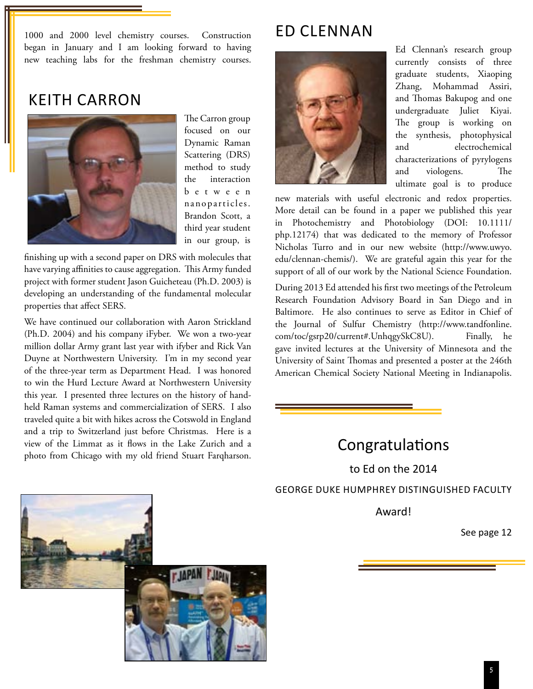1000 and 2000 level chemistry courses. Construction began in January and I am looking forward to having new teaching labs for the freshman chemistry courses.

## keith carron



The Carron group focused on our Dynamic Raman Scattering (DRS) method to study the interaction b e t w e e n nanopar ticles. Brandon Scott, a third year student in our group, is

finishing up with a second paper on DRS with molecules that have varying affinities to cause aggregation. This Army funded project with former student Jason Guicheteau (Ph.D. 2003) is developing an understanding of the fundamental molecular properties that affect SERS.

We have continued our collaboration with Aaron Strickland (Ph.D. 2004) and his company iFyber. We won a two-year million dollar Army grant last year with ifyber and Rick Van Duyne at Northwestern University. I'm in my second year of the three-year term as Department Head. I was honored to win the Hurd Lecture Award at Northwestern University this year. I presented three lectures on the history of handheld Raman systems and commercialization of SERS. I also traveled quite a bit with hikes across the Cotswold in England and a trip to Switzerland just before Christmas. Here is a view of the Limmat as it flows in the Lake Zurich and a view of the Limmat as it flows in the Lake Zurich and a<br>photo from Chicago with my old friend Stuart Farqharson.

# Ed Clennan



Ed Clennan's research group currently consists of three graduate students, Xiaoping Zhang, Mohammad Assiri, and Thomas Bakupog and one undergraduate Juliet Kiyai. The group is working on the synthesis, photophysical and electrochemical characterizations of pyrylogens and viologens. The ultimate goal is to produce

new materials with useful electronic and redox properties. More detail can be found in a paper we published this year in Photochemistry and Photobiology (DOI: 10.1111/ php.12174) that was dedicated to the memory of Professor Nicholas Turro and in our new website (http://www.uwyo. edu/clennan-chemis/). We are grateful again this year for the support of all of our work by the National Science Foundation.

During 2013 Ed attended his first two meetings of the Petroleum Research Foundation Advisory Board in San Diego and in Baltimore. He also continues to serve as Editor in Chief of the Journal of Sulfur Chemistry (http://www.tandfonline. com/toc/gsrp20/current#.UnhqgySkC8U). Finally, he gave invited lectures at the University of Minnesota and the University of Saint Thomas and presented a poster at the 246th American Chemical Society National Meeting in Indianapolis.

to Ed on the 2014 George Duke Humphrey Distinguished Faculty

Award!

See page 12

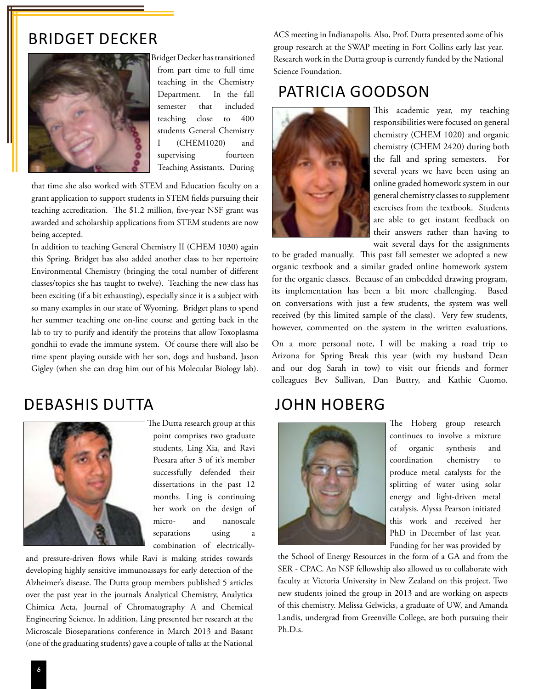#### Bridget Decker



 Bridget Decker has transitioned from part time to full time teaching in the Chemistry Department. In the fall semester that included teaching close to 400 students General Chemistry I (CHEM1020) and supervising fourteen Teaching Assistants. During

that time she also worked with STEM and Education faculty on a grant application to support students in STEM fields pursuing their teaching accreditation. The \$1.2 million, five-year NSF grant was awarded and scholarship applications from STEM students are now being accepted.

In addition to teaching General Chemistry II (CHEM 1030) again this Spring, Bridget has also added another class to her repertoire Environmental Chemistry (bringing the total number of different classes/topics she has taught to twelve). Teaching the new class has been exciting (if a bit exhausting), especially since it is a subject with so many examples in our state of Wyoming. Bridget plans to spend her summer teaching one on-line course and getting back in the lab to try to purify and identify the proteins that allow Toxoplasma gondhii to evade the immune system. Of course there will also be time spent playing outside with her son, dogs and husband, Jason Gigley (when she can drag him out of his Molecular Biology lab).

#### debashis dutta



 The Dutta research group at this point comprises two graduate students, Ling Xia, and Ravi Peesara after 3 of it's member successfully defended their dissertations in the past 12 months. Ling is continuing her work on the design of micro- and nanoscale separations using combination of electrically-

and pressure-driven flows while Ravi is making strides towards developing highly sensitive immunoassays for early detection of the Alzheimer's disease. The Dutta group members published 5 articles over the past year in the journals Analytical Chemistry, Analytica Chimica Acta, Journal of Chromatography A and Chemical Engineering Science. In addition, Ling presented her research at the Microscale Bioseparations conference in March 2013 and Basant (one of the graduating students) gave a couple of talks at the National

ACS meeting in Indianapolis. Also, Prof. Dutta presented some of his group research at the SWAP meeting in Fort Collins early last year. Research work in the Dutta group is currently funded by the National Science Foundation.

## patricia goodson



This academic year, my teaching responsibilities were focused on general chemistry (CHEM 1020) and organic chemistry (CHEM 2420) during both the fall and spring semesters. For several years we have been using an online graded homework system in our general chemistry classes to supplement exercises from the textbook. Students are able to get instant feedback on their answers rather than having to wait several days for the assignments

to be graded manually. This past fall semester we adopted a new organic textbook and a similar graded online homework system for the organic classes. Because of an embedded drawing program, its implementation has been a bit more challenging. Based on conversations with just a few students, the system was well received (by this limited sample of the class). Very few students, however, commented on the system in the written evaluations.

On a more personal note, I will be making a road trip to Arizona for Spring Break this year (with my husband Dean and our dog Sarah in tow) to visit our friends and former colleagues Bev Sullivan, Dan Buttry, and Kathie Cuomo.

## JOHN HOBERG



The Hoberg group research continues to involve a mixture of organic synthesis and coordination chemistry to produce metal catalysts for the splitting of water using solar energy and light-driven metal catalysis. Alyssa Pearson initiated this work and received her PhD in December of last year. Funding for her was provided by

the School of Energy Resources in the form of a GA and from the SER - CPAC. An NSF fellowship also allowed us to collaborate with faculty at Victoria University in New Zealand on this project. Two new students joined the group in 2013 and are working on aspects of this chemistry. Melissa Gelwicks, a graduate of UW, and Amanda Landis, undergrad from Greenville College, are both pursuing their Ph.D.s.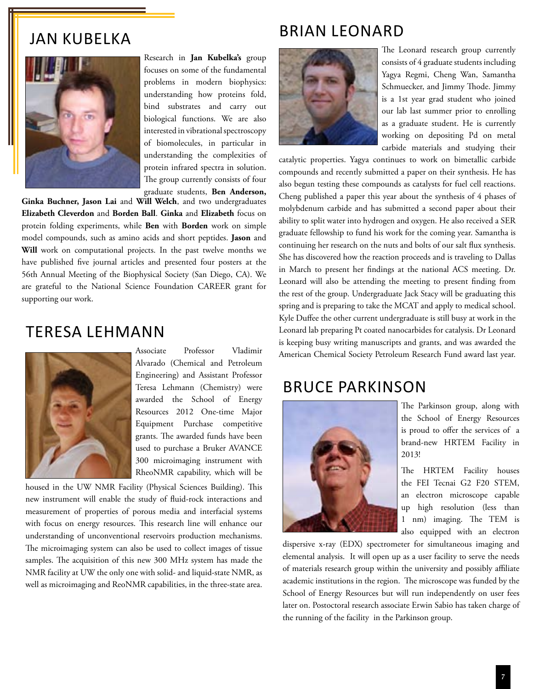#### brian leonard

### Jan kubelka



Research in **Jan Kubelka's** group focuses on some of the fundamental problems in modern biophysics: understanding how proteins fold, bind substrates and carry out biological functions. We are also interested in vibrational spectroscopy of biomolecules, in particular in understanding the complexities of protein infrared spectra in solution. The group currently consists of four graduate students, **Ben Anderson,** 

**Ginka Buchner, Jason Lai** and **Will Welch**, and two undergraduates **Elizabeth Cleverdon** and **Borden Ball**. **Ginka** and **Elizabeth** focus on protein folding experiments, while **Ben** with **Borden** work on simple model compounds, such as amino acids and short peptides. **Jason** and Will work on computational projects. In the past twelve months we have published five journal articles and presented four posters at the 56th Annual Meeting of the Biophysical Society (San Diego, CA). We are grateful to the National Science Foundation CAREER grant for supporting our work.

#### Teresa Lehmann



Associate Professor Vladimir Alvarado (Chemical and Petroleum Engineering) and Assistant Professor Teresa Lehmann (Chemistry) were awarded the School of Energy Resources 2012 One-time Major Equipment Purchase competitive grants. The awarded funds have been used to purchase a Bruker AVANCE 300 microimaging instrument with RheoNMR capability, which will be

housed in the UW NMR Facility (Physical Sciences Building). This new instrument will enable the study of fluid-rock interactions and measurement of properties of porous media and interfacial systems with focus on energy resources. This research line will enhance our understanding of unconventional reservoirs production mechanisms. The microimaging system can also be used to collect images of tissue samples. The acquisition of this new 300 MHz system has made the NMR facility at UW the only one with solid- and liquid-state NMR, as well as microimaging and ReoNMR capabilities, in the three-state area.



The Leonard research group currently consists of 4 graduate students including Yagya Regmi, Cheng Wan, Samantha Schmuecker, and Jimmy Thode. Jimmy is a 1st year grad student who joined our lab last summer prior to enrolling as a graduate student. He is currently working on depositing Pd on metal carbide materials and studying their

catalytic properties. Yagya continues to work on bimetallic carbide compounds and recently submitted a paper on their synthesis. He has also begun testing these compounds as catalysts for fuel cell reactions. Cheng published a paper this year about the synthesis of 4 phases of molybdenum carbide and has submitted a second paper about their ability to split water into hydrogen and oxygen. He also received a SER graduate fellowship to fund his work for the coming year. Samantha is continuing her research on the nuts and bolts of our salt flux synthesis. She has discovered how the reaction proceeds and is traveling to Dallas in March to present her findings at the national ACS meeting. Dr. Leonard will also be attending the meeting to present finding from the rest of the group. Undergraduate Jack Stacy will be graduating this spring and is preparing to take the MCAT and apply to medical school. Kyle Duffee the other current undergraduate is still busy at work in the Leonard lab preparing Pt coated nanocarbides for catalysis. Dr Leonard is keeping busy writing manuscripts and grants, and was awarded the American Chemical Society Petroleum Research Fund award last year.

## Bruce Parkinson



The Parkinson group, along with the School of Energy Resources is proud to offer the services of a brand-new HRTEM Facility in 2013!

The HRTEM Facility houses the FEI Tecnai G2 F20 STEM, an electron microscope capable up high resolution (less than 1 nm) imaging. The TEM is also equipped with an electron

dispersive x-ray (EDX) spectrometer for simultaneous imaging and elemental analysis. It will open up as a user facility to serve the needs of materials research group within the university and possibly affiliate academic institutions in the region. The microscope was funded by the School of Energy Resources but will run independently on user fees later on. Postoctoral research associate Erwin Sabio has taken charge of the running of the facility in the Parkinson group.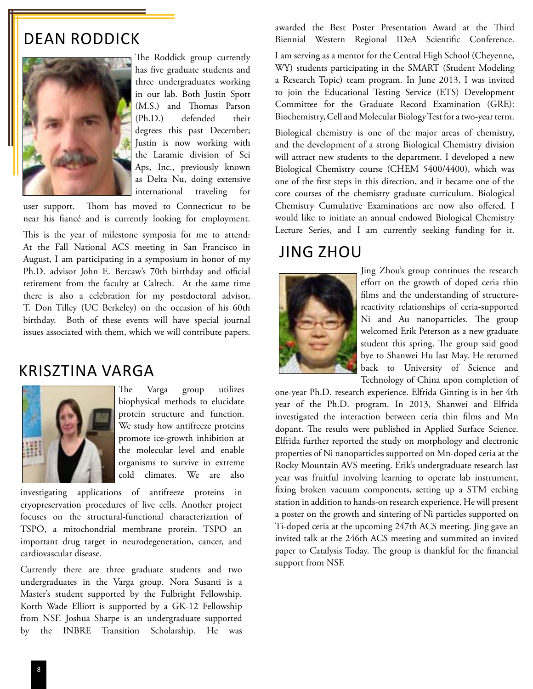## dean roddick



The Roddick group currently has five graduate students and three undergraduates working in our lab. Both Justin Spott (M.S.) and Thomas Parson (Ph.D.) defended their degrees this past December; Justin is now working with the Laramie division of Sci Aps, Inc., previously known as Delta Nu, doing extensive international traveling for

user support. Thom has moved to Connecticut to be near his fiancé and is currently looking for employment.

This is the year of milestone symposia for me to attend: At the Fall National ACS meeting in San Francisco in August, I am participating in a symposium in honor of my Ph.D. advisor John E. Bercaw's 70th birthday and official retirement from the faculty at Caltech. At the same time there is also a celebration for my postdoctoral advisor, T. Don Tilley (UC Berkeley) on the occasion of his 60th birthday. Both of these events will have special journal issues associated with them, which we will contribute papers.

#### Krisztina Varga



The Varga group utilizes biophysical methods to elucidate protein structure and function. We study how antifreeze proteins promote ice-growth inhibition at the molecular level and enable organisms to survive in extreme cold climates. We are also

investigating applications of antifreeze proteins in cryopreservation procedures of live cells. Another project focuses on the structural-functional characterization of TSPO, a mitochondrial membrane protein. TSPO an important drug target in neurodegeneration, cancer, and cardiovascular disease.

Currently there are three graduate students and two undergraduates in the Varga group. Nora Susanti is a Master's student supported by the Fulbright Fellowship. Korth Wade Elliott is supported by a GK-12 Fellowship from NSF. Joshua Sharpe is an undergraduate supported by the INBRE Transition Scholarship. He was awarded the Best Poster Presentation Award at the Third Biennial Western Regional IDeA Scientific Conference.

I am serving as a mentor for the Central High School (Cheyenne, WY) students participating in the SMART (Student Modeling a Research Topic) team program. In June 2013, I was invited to join the Educational Testing Service (ETS) Development Committee for the Graduate Record Examination (GRE): Biochemistry, Cell and Molecular Biology Test for a two-year term.

Biological chemistry is one of the major areas of chemistry, and the development of a strong Biological Chemistry division will attract new students to the department. I developed a new Biological Chemistry course (CHEM 5400/4400), which was one of the first steps in this direction, and it became one of the core courses of the chemistry graduate curriculum. Biological Chemistry Cumulative Examinations are now also offered. I would like to initiate an annual endowed Biological Chemistry Lecture Series, and I am currently seeking funding for it.

#### Jing zhou



Jing Zhou's group continues the research effort on the growth of doped ceria thin films and the understanding of structurereactivity relationships of ceria-supported Ni and Au nanoparticles. The group welcomed Erik Peterson as a new graduate student this spring. The group said good bye to Shanwei Hu last May. He returned back to University of Science and Technology of China upon completion of

one-year Ph.D. research experience. Elfrida Ginting is in her 4th year of the Ph.D. program. In 2013, Shanwei and Elfrida investigated the interaction between ceria thin films and Mn dopant. The results were published in Applied Surface Science. Elfrida further reported the study on morphology and electronic properties of Ni nanoparticles supported on Mn-doped ceria at the Rocky Mountain AVS meeting. Erik's undergraduate research last year was fruitful involving learning to operate lab instrument, fixing broken vacuum components, setting up a STM etching station in addition to hands-on research experience. He will present a poster on the growth and sintering of Ni particles supported on Ti-doped ceria at the upcoming 247th ACS meeting. Jing gave an invited talk at the 246th ACS meeting and summited an invited paper to Catalysis Today. The group is thankful for the financial support from NSF.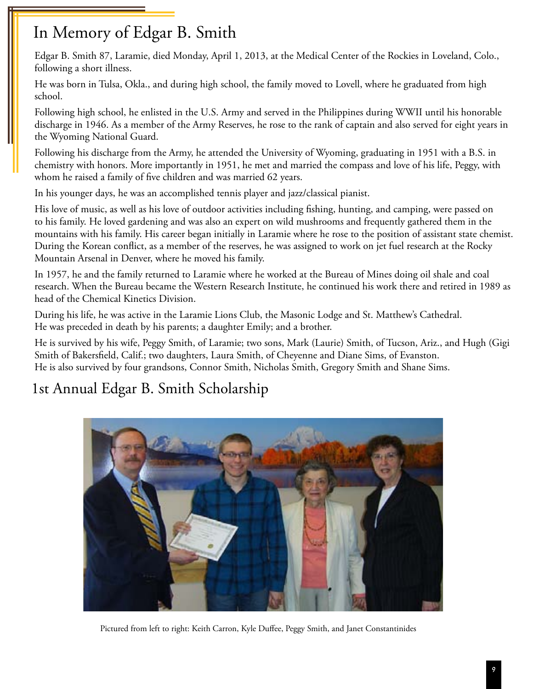# In Memory of Edgar B. Smith

 Edgar B. Smith 87, Laramie, died Monday, April 1, 2013, at the Medical Center of the Rockies in Loveland, Colo., following a short illness.

 He was born in Tulsa, Okla., and during high school, the family moved to Lovell, where he graduated from high school.

 Following high school, he enlisted in the U.S. Army and served in the Philippines during WWII until his honorable discharge in 1946. As a member of the Army Reserves, he rose to the rank of captain and also served for eight years in the Wyoming National Guard.

 Following his discharge from the Army, he attended the University of Wyoming, graduating in 1951 with a B.S. in chemistry with honors. More importantly in 1951, he met and married the compass and love of his life, Peggy, with whom he raised a family of five children and was married 62 years.

In his younger days, he was an accomplished tennis player and jazz/classical pianist.

 His love of music, as well as his love of outdoor activities including fishing, hunting, and camping, were passed on to his family. He loved gardening and was also an expert on wild mushrooms and frequently gathered them in the mountains with his family. His career began initially in Laramie where he rose to the position of assistant state chemist. During the Korean conflict, as a member of the reserves, he was assigned to work on jet fuel research at the Rocky Mountain Arsenal in Denver, where he moved his family.

 In 1957, he and the family returned to Laramie where he worked at the Bureau of Mines doing oil shale and coal research. When the Bureau became the Western Research Institute, he continued his work there and retired in 1989 as head of the Chemical Kinetics Division.

 During his life, he was active in the Laramie Lions Club, the Masonic Lodge and St. Matthew's Cathedral. He was preceded in death by his parents; a daughter Emily; and a brother.

 He is survived by his wife, Peggy Smith, of Laramie; two sons, Mark (Laurie) Smith, of Tucson, Ariz., and Hugh (Gigi Smith of Bakersfield, Calif.; two daughters, Laura Smith, of Cheyenne and Diane Sims, of Evanston. He is also survived by four grandsons, Connor Smith, Nicholas Smith, Gregory Smith and Shane Sims.

# 1st Annual Edgar B. Smith Scholarship



Pictured from left to right: Keith Carron, Kyle Duffee, Peggy Smith, and Janet Constantinides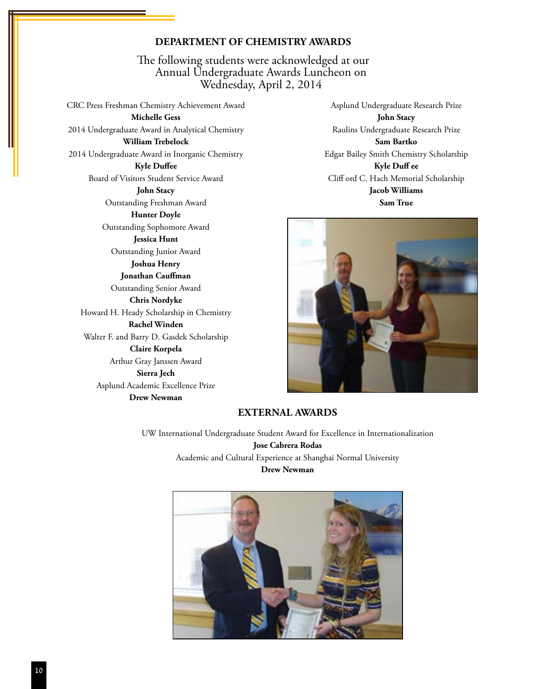#### **Department of Chemistry Awards**

The following students were acknowledged at our Annual Undergraduate Awards Luncheon on Wednesday, April 2, 2014

CRC Press Freshman Chemistry Achievement Award **Michelle Gess** 2014 Undergraduate Award in Analytical Chemistry **William Trebelock** 2014 Undergraduate Award in Inorganic Chemistry **Kyle Duffee** Board of Visitors Student Service Award **John Stacy** Outstanding Freshman Award **Hunter Doyle** Outstanding Sophomore Award **Jessica Hunt** Outstanding Junior Award **Joshua Henry Jonathan Cauffman** Outstanding Senior Award **Chris Nordyke** Howard H. Heady Scholarship in Chemistry **Rachel Winden** Walter F. and Barry D. Gasdek Scholarship **Claire Korpela** Arthur Gray Janssen Award **Sierra Jech** Asplund Academic Excellence Prize **Drew Newman**

Asplund Undergraduate Research Prize **John Stacy** Raulins Undergraduate Research Prize **Sam Bartko**

Edgar Bailey Smith Chemistry Scholarship **Kyle Duff ee** Cliff ord C. Hach Memorial Scholarship **Jacob Williams Sam True**



#### **External Awards**

UW International Undergraduate Student Award for Excellence in Internationalization **Jose Cabrera Rodas** Academic and Cultural Experience at Shanghai Normal University **Drew Newman**

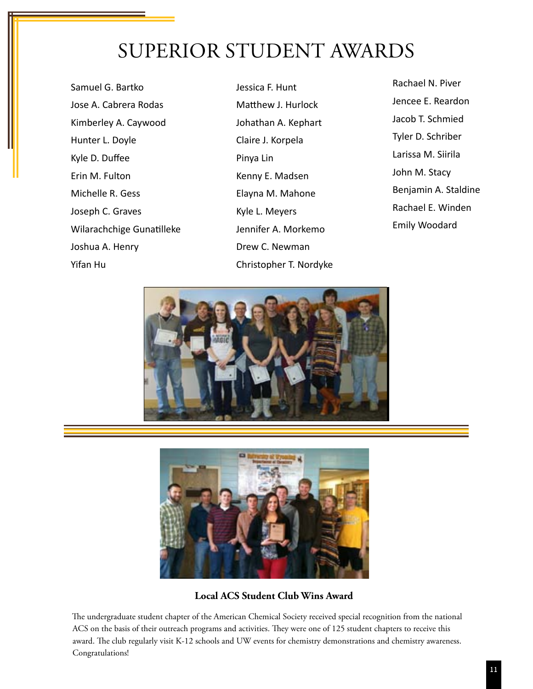# Superior Student Awards

Samuel G. Bartko Jose A. Cabrera Rodas Kimberley A. Caywood Hunter L. Doyle Kyle D. Duffee Erin M. Fulton Michelle R. Gess Joseph C. Graves Wilarachchige Gunatilleke Joshua A. Henry Yifan Hu

Jessica F. Hunt Matthew J. Hurlock Johathan A. Kephart Claire J. Korpela Pinya Lin Kenny E. Madsen Elayna M. Mahone Kyle L. Meyers Jennifer A. Morkemo Drew C. Newman Christopher T. Nordyke Rachael N. Piver Jencee E. Reardon Jacob T. Schmied Tyler D. Schriber Larissa M. Siirila John M. Stacy Benjamin A. Staldine Rachael E. Winden Emily Woodard





**Local ACS Student Club Wins Award**

 The undergraduate student chapter of the American Chemical Society received special recognition from the national ACS on the basis of their outreach programs and activities. They were one of 125 student chapters to receive this award. The club regularly visit K-12 schools and UW events for chemistry demonstrations and chemistry awareness. Congratulations!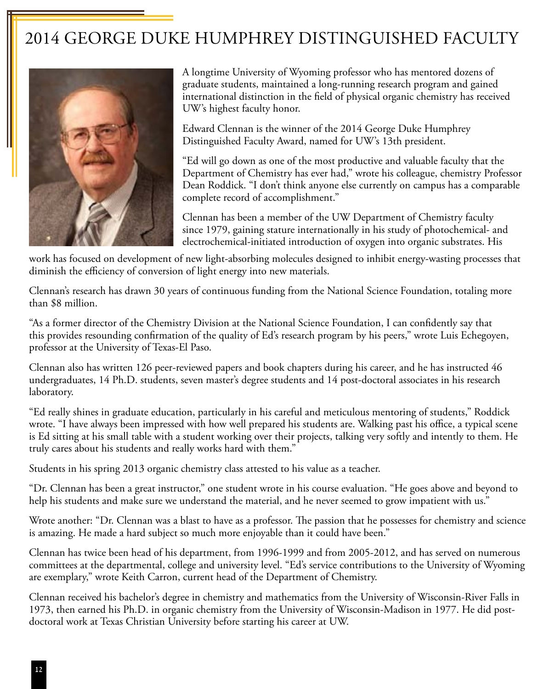# 2014 George Duke Humphrey Distinguished Faculty



A longtime University of Wyoming professor who has mentored dozens of graduate students, maintained a long-running research program and gained international distinction in the field of physical organic chemistry has received UW's highest faculty honor.

Edward Clennan is the winner of the 2014 George Duke Humphrey Distinguished Faculty Award, named for UW's 13th president.

"Ed will go down as one of the most productive and valuable faculty that the Department of Chemistry has ever had," wrote his colleague, chemistry Professor Dean Roddick. "I don't think anyone else currently on campus has a comparable complete record of accomplishment."

Clennan has been a member of the UW Department of Chemistry faculty since 1979, gaining stature internationally in his study of photochemical- and electrochemical-initiated introduction of oxygen into organic substrates. His

work has focused on development of new light-absorbing molecules designed to inhibit energy-wasting processes that diminish the efficiency of conversion of light energy into new materials.

Clennan's research has drawn 30 years of continuous funding from the National Science Foundation, totaling more than \$8 million.

"As a former director of the Chemistry Division at the National Science Foundation, I can confidently say that this provides resounding confirmation of the quality of Ed's research program by his peers," wrote Luis Echegoyen, professor at the University of Texas-El Paso.

Clennan also has written 126 peer-reviewed papers and book chapters during his career, and he has instructed 46 undergraduates, 14 Ph.D. students, seven master's degree students and 14 post-doctoral associates in his research laboratory.

"Ed really shines in graduate education, particularly in his careful and meticulous mentoring of students," Roddick wrote. "I have always been impressed with how well prepared his students are. Walking past his office, a typical scene is Ed sitting at his small table with a student working over their projects, talking very softly and intently to them. He truly cares about his students and really works hard with them."

Students in his spring 2013 organic chemistry class attested to his value as a teacher.

"Dr. Clennan has been a great instructor," one student wrote in his course evaluation. "He goes above and beyond to help his students and make sure we understand the material, and he never seemed to grow impatient with us."

Wrote another: "Dr. Clennan was a blast to have as a professor. The passion that he possesses for chemistry and science is amazing. He made a hard subject so much more enjoyable than it could have been."

Clennan has twice been head of his department, from 1996-1999 and from 2005-2012, and has served on numerous committees at the departmental, college and university level. "Ed's service contributions to the University of Wyoming are exemplary," wrote Keith Carron, current head of the Department of Chemistry.

Clennan received his bachelor's degree in chemistry and mathematics from the University of Wisconsin-River Falls in 1973, then earned his Ph.D. in organic chemistry from the University of Wisconsin-Madison in 1977. He did postdoctoral work at Texas Christian University before starting his career at UW.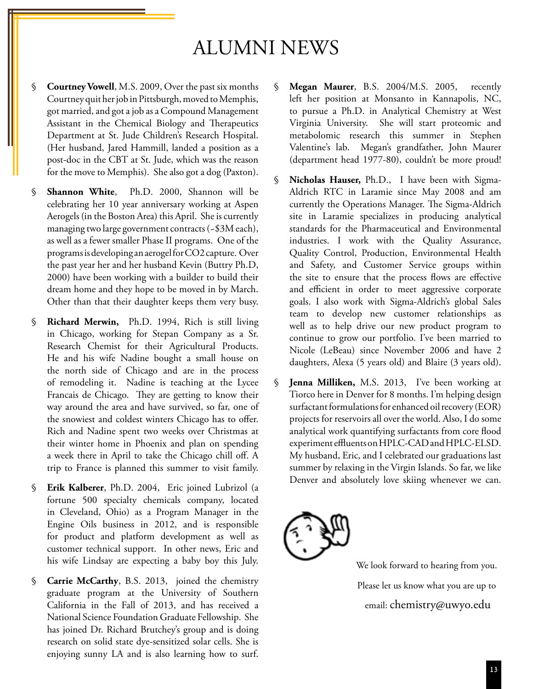# ALUMNI NEWS

- § **Courtney Vowell**, M.S. 2009, Over the past six months Courtney quit her job in Pittsburgh, moved to Memphis, got married, and got a job as a Compound Management Assistant in the Chemical Biology and Therapeutics Department at St. Jude Children's Research Hospital. (Her husband, Jared Hammill, landed a position as a post-doc in the CBT at St. Jude, which was the reason for the move to Memphis). She also got a dog (Paxton).
- § **Shannon White**, Ph.D. 2000, Shannon will be celebrating her 10 year anniversary working at Aspen Aerogels (in the Boston Area) this April. She is currently managing two large government contracts (~\$3M each), as well as a fewer smaller Phase II programs. One of the programs is developing an aerogel for CO2 capture. Over the past year her and her husband Kevin (Buttry Ph.D, 2000) have been working with a builder to build their dream home and they hope to be moved in by March. Other than that their daughter keeps them very busy.
- § **Richard Merwin,** Ph.D. 1994, Rich is still living in Chicago, working for Stepan Company as a Sr. Research Chemist for their Agricultural Products. He and his wife Nadine bought a small house on the north side of Chicago and are in the process of remodeling it. Nadine is teaching at the Lycee Francais de Chicago. They are getting to know their way around the area and have survived, so far, one of the snowiest and coldest winters Chicago has to offer. Rich and Nadine spent two weeks over Christmas at their winter home in Phoenix and plan on spending a week there in April to take the Chicago chill off. A trip to France is planned this summer to visit family.
- § **Erik Kalberer**, Ph.D. 2004, Eric joined Lubrizol (a fortune 500 specialty chemicals company, located in Cleveland, Ohio) as a Program Manager in the Engine Oils business in 2012, and is responsible for product and platform development as well as customer technical support. In other news, Eric and his wife Lindsay are expecting a baby boy this July.
- § **Carrie McCarthy**, B.S. 2013, joined the chemistry graduate program at the University of Southern California in the Fall of 2013, and has received a National Science Foundation Graduate Fellowship. She has joined Dr. Richard Brutchey's group and is doing research on solid state dye-sensitized solar cells. She is enjoying sunny LA and is also learning how to surf.
- § **Megan Maurer**, B.S. 2004/M.S. 2005, recently left her position at Monsanto in Kannapolis, NC, to pursue a Ph.D. in Analytical Chemistry at West Virginia University. She will start proteomic and metabolomic research this summer in Stephen Valentine's lab. Megan's grandfather, John Maurer (department head 1977-80), couldn't be more proud!
- § **Nicholas Hauser,** Ph.D., I have been with Sigma-Aldrich RTC in Laramie since May 2008 and am currently the Operations Manager. The Sigma-Aldrich site in Laramie specializes in producing analytical standards for the Pharmaceutical and Environmental industries. I work with the Quality Assurance, Quality Control, Production, Environmental Health and Safety, and Customer Service groups within the site to ensure that the process flows are effective and efficient in order to meet aggressive corporate goals. I also work with Sigma-Aldrich's global Sales team to develop new customer relationships as well as to help drive our new product program to continue to grow our portfolio. I've been married to Nicole (LeBeau) since November 2006 and have 2 daughters, Alexa (5 years old) and Blaire (3 years old).
- § **Jenna Milliken,** M.S. 2013, I've been working at Tiorco here in Denver for 8 months. I'm helping design surfactant formulations for enhanced oil recovery (EOR) projects for reservoirs all over the world. Also, I do some analytical work quantifying surfactants from core flood experiment effluents on HPLC-CAD and HPLC-ELSD. My husband, Eric, and I celebrated our graduations last summer by relaxing in the Virgin Islands. So far, we like Denver and absolutely love skiing whenever we can.



We look forward to hearing from you. Please let us know what you are up to email: chemistry@uwyo.edu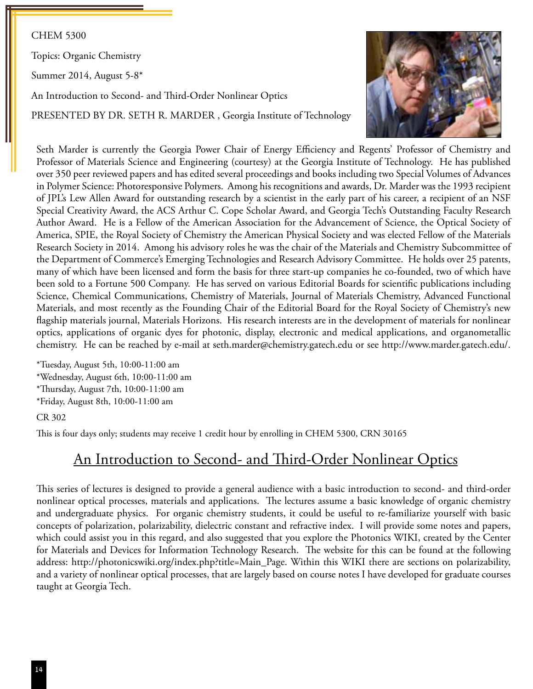#### CHEM 5300

Topics: Organic Chemistry

Summer 2014, August 5-8\*

An Introduction to Second- and Third-Order Nonlinear Optics

PRESENTED BY DR. SETH R. MARDER, Georgia Institute of Technology



Seth Marder is currently the Georgia Power Chair of Energy Efficiency and Regents' Professor of Chemistry and Professor of Materials Science and Engineering (courtesy) at the Georgia Institute of Technology. He has published over 350 peer reviewed papers and has edited several proceedings and books including two Special Volumes of Advances in Polymer Science: Photoresponsive Polymers. Among his recognitions and awards, Dr. Marder was the 1993 recipient of JPL's Lew Allen Award for outstanding research by a scientist in the early part of his career, a recipient of an NSF Special Creativity Award, the ACS Arthur C. Cope Scholar Award, and Georgia Tech's Outstanding Faculty Research Author Award. He is a Fellow of the American Association for the Advancement of Science, the Optical Society of America, SPIE, the Royal Society of Chemistry the American Physical Society and was elected Fellow of the Materials Research Society in 2014. Among his advisory roles he was the chair of the Materials and Chemistry Subcommittee of the Department of Commerce's Emerging Technologies and Research Advisory Committee. He holds over 25 patents, many of which have been licensed and form the basis for three start-up companies he co-founded, two of which have been sold to a Fortune 500 Company. He has served on various Editorial Boards for scientific publications including Science, Chemical Communications, Chemistry of Materials, Journal of Materials Chemistry, Advanced Functional Materials, and most recently as the Founding Chair of the Editorial Board for the Royal Society of Chemistry's new flagship materials journal, Materials Horizons. His research interests are in the development of materials for nonlinear optics, applications of organic dyes for photonic, display, electronic and medical applications, and organometallic chemistry. He can be reached by e-mail at seth.marder@chemistry.gatech.edu or see http://www.marder.gatech.edu/.

\*Tuesday, August 5th, 10:00-11:00 am \*Wednesday, August 6th, 10:00-11:00 am \*Thursday, August 7th, 10:00-11:00 am \*Friday, August 8th, 10:00-11:00 am

CR 302

This is four days only; students may receive 1 credit hour by enrolling in CHEM 5300, CRN 30165

#### An Introduction to Second- and Third-Order Nonlinear Optics

This series of lectures is designed to provide a general audience with a basic introduction to second- and third-order nonlinear optical processes, materials and applications. The lectures assume a basic knowledge of organic chemistry and undergraduate physics. For organic chemistry students, it could be useful to re-familiarize yourself with basic concepts of polarization, polarizability, dielectric constant and refractive index. I will provide some notes and papers, which could assist you in this regard, and also suggested that you explore the Photonics WIKI, created by the Center for Materials and Devices for Information Technology Research. The website for this can be found at the following address: http://photonicswiki.org/index.php?title=Main\_Page. Within this WIKI there are sections on polarizability, and a variety of nonlinear optical processes, that are largely based on course notes I have developed for graduate courses taught at Georgia Tech.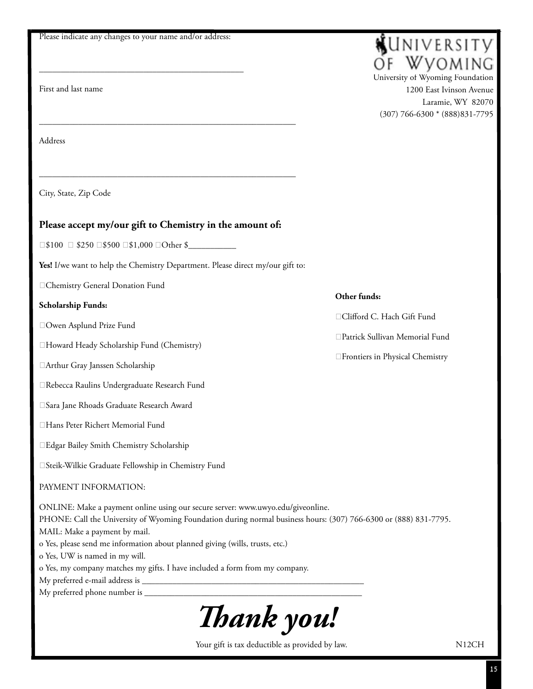Please indicate any changes to your name and/or address:

\_\_\_\_\_\_\_\_\_\_\_\_\_\_\_\_\_\_\_\_\_\_\_\_\_\_\_\_\_\_\_\_\_\_\_\_\_\_\_\_\_\_\_\_\_\_\_

First and last name

**KUNIVERSITY** WVOMING University of Wyoming Foundation

1200 East Ivinson Avenue Laramie, WY 82070 (307) 766-6300 \* (888)831-7795

Address

City, State, Zip Code

#### **Please accept my/our gift to Chemistry in the amount of:**

\_\_\_\_\_\_\_\_\_\_\_\_\_\_\_\_\_\_\_\_\_\_\_\_\_\_\_\_\_\_\_\_\_\_\_\_\_\_\_\_\_\_\_\_\_\_\_\_\_\_\_\_\_\_\_\_\_\_\_

\_\_\_\_\_\_\_\_\_\_\_\_\_\_\_\_\_\_\_\_\_\_\_\_\_\_\_\_\_\_\_\_\_\_\_\_\_\_\_\_\_\_\_\_\_\_\_\_\_\_\_\_\_\_\_\_\_\_\_

 $\Box$ \$100  $\Box$  \$250  $\Box$ \$500  $\Box$ \$1,000  $\Box$ Other \$

**Yes!** I/we want to help the Chemistry Department. Please direct my/our gift to:

Chemistry General Donation Fund

#### **Scholarship Funds:**

Owen Asplund Prize Fund

Howard Heady Scholarship Fund (Chemistry)

Arthur Gray Janssen Scholarship

Rebecca Raulins Undergraduate Research Fund

Sara Jane Rhoads Graduate Research Award

Hans Peter Richert Memorial Fund

Edgar Bailey Smith Chemistry Scholarship

Steik-Wilkie Graduate Fellowship in Chemistry Fund

#### PAYMENT INFORMATION:

ONLINE: Make a payment online using our secure server: www.uwyo.edu/giveonline.

PHONE: Call the University of Wyoming Foundation during normal business hours: (307) 766-6300 or (888) 831-7795.

MAIL: Make a payment by mail.

o Yes, please send me information about planned giving (wills, trusts, etc.)

o Yes, UW is named in my will.

o Yes, my company matches my gifts. I have included a form from my company.

My preferred e-mail address is

My preferred phone number is \_\_\_\_\_\_\_\_\_\_\_\_\_\_\_\_\_\_\_\_\_\_\_\_\_\_\_\_\_\_\_\_\_\_\_\_\_\_\_\_\_\_\_\_\_\_\_\_\_\_



Your gift is tax deductible as provided by law. N12CH

#### **Other funds:**

□Clifford C. Hach Gift Fund

Patrick Sullivan Memorial Fund

Frontiers in Physical Chemistry